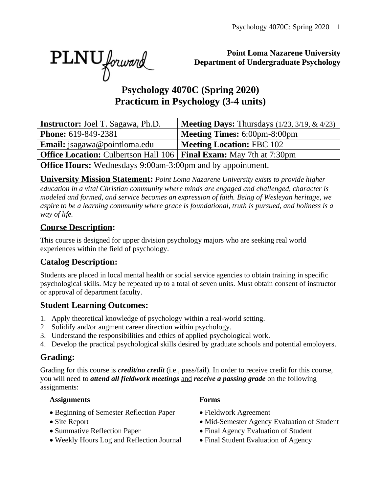PLNU forward

#### **Point Loma Nazarene University Department of Undergraduate Psychology**

# **Psychology 4070C (Spring 2020) Practicum in Psychology (3-4 units)**

| <b>Instructor:</b> Joel T. Sagawa, Ph.D.                                           | <b>Meeting Days:</b> Thursdays $(1/23, 3/19, \& 4/23)$            |  |  |  |  |
|------------------------------------------------------------------------------------|-------------------------------------------------------------------|--|--|--|--|
| <b>Phone:</b> 619-849-2381                                                         | <b>Meeting Times: 6:00pm-8:00pm</b>                               |  |  |  |  |
| <b>Email:</b> jsagawa@pointloma.edu                                                | <b>Meeting Location: FBC 102</b>                                  |  |  |  |  |
| <b>Office Location:</b> Culbertson Hall 106   <b>Final Exam:</b> May 7th at 7:30pm |                                                                   |  |  |  |  |
|                                                                                    | <b>Office Hours:</b> Wednesdays 9:00am-3:00pm and by appointment. |  |  |  |  |

**University Mission Statement:** *Point Loma Nazarene University exists to provide higher education in a vital Christian community where minds are engaged and challenged, character is modeled and formed, and service becomes an expression of faith. Being of Wesleyan heritage, we aspire to be a learning community where grace is foundational, truth is pursued, and holiness is a way of life.*

#### **Course Description:**

This course is designed for upper division psychology majors who are seeking real world experiences within the field of psychology.

#### **Catalog Description:**

Students are placed in local mental health or social service agencies to obtain training in specific psychological skills. May be repeated up to a total of seven units. Must obtain consent of instructor or approval of department faculty.

### **Student Learning Outcomes:**

- 1. Apply theoretical knowledge of psychology within a real-world setting.
- 2. Solidify and/or augment career direction within psychology.
- 3. Understand the responsibilities and ethics of applied psychological work.
- 4. Develop the practical psychological skills desired by graduate schools and potential employers.

### **Grading:**

Grading for this course is *credit/no credit* (i.e., pass/fail). In order to receive credit for this course, you will need to *attend all fieldwork meetings* and *receive a passing grade* on the following assignments:

#### **Assignments Forms**

- Beginning of Semester Reflection Paper Fieldwork Agreement
- 
- 
- Weekly Hours Log and Reflection Journal Final Student Evaluation of Agency

- 
- Site Report Mid-Semester Agency Evaluation of Student
- Summative Reflection Paper Final Agency Evaluation of Student
	-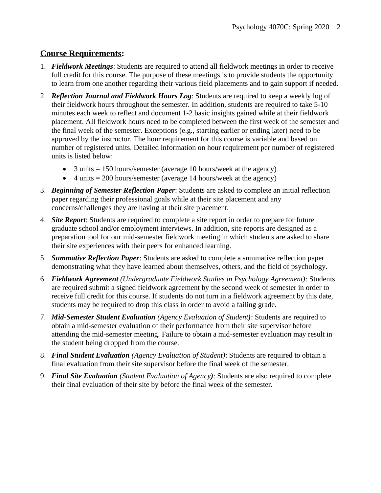#### **Course Requirements:**

- 1. *Fieldwork Meetings*: Students are required to attend all fieldwork meetings in order to receive full credit for this course. The purpose of these meetings is to provide students the opportunity to learn from one another regarding their various field placements and to gain support if needed.
- 2. *Reflection Journal and Fieldwork Hours Log*: Students are required to keep a weekly log of their fieldwork hours throughout the semester. In addition, students are required to take 5-10 minutes each week to reflect and document 1-2 basic insights gained while at their fieldwork placement. All fieldwork hours need to be completed between the first week of the semester and the final week of the semester. Exceptions (e.g., starting earlier or ending later) need to be approved by the instructor. The hour requirement for this course is variable and based on number of registered units. Detailed information on hour requirement per number of registered units is listed below:
	- 3 units  $= 150$  hours/semester (average 10 hours/week at the agency)
	- 4 units  $= 200$  hours/semester (average 14 hours/week at the agency)
- 3. *Beginning of Semester Reflection Paper*: Students are asked to complete an initial reflection paper regarding their professional goals while at their site placement and any concerns/challenges they are having at their site placement.
- 4. *Site Report*: Students are required to complete a site report in order to prepare for future graduate school and/or employment interviews. In addition, site reports are designed as a preparation tool for our mid-semester fieldwork meeting in which students are asked to share their site experiences with their peers for enhanced learning.
- 5. *Summative Reflection Paper*: Students are asked to complete a summative reflection paper demonstrating what they have learned about themselves, others, and the field of psychology.
- 6. *Fieldwork Agreement (Undergraduate Fieldwork Studies in Psychology Agreement)*: Students are required submit a signed fieldwork agreement by the second week of semester in order to receive full credit for this course. If students do not turn in a fieldwork agreement by this date, students may be required to drop this class in order to avoid a failing grade.
- 7. *Mid*-*Semester Student Evaluation (Agency Evaluation of Student)*: Students are required to obtain a mid-semester evaluation of their performance from their site supervisor before attending the mid-semester meeting. Failure to obtain a mid-semester evaluation may result in the student being dropped from the course.
- 8. *Final Student Evaluation (Agency Evaluation of Student)*: Students are required to obtain a final evaluation from their site supervisor before the final week of the semester.
- 9. *Final Site Evaluation (Student Evaluation of Agency)*: Students are also required to complete their final evaluation of their site by before the final week of the semester.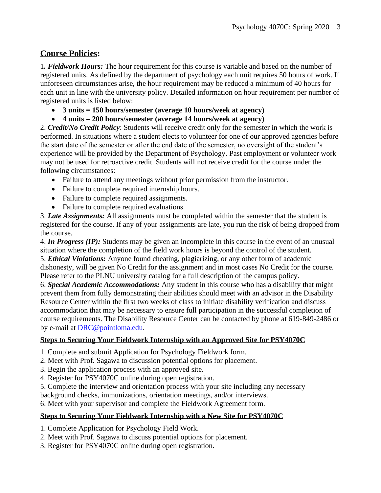#### **Course Policies:**

1*. Fieldwork Hours:* The hour requirement for this course is variable and based on the number of registered units. As defined by the department of psychology each unit requires 50 hours of work. If unforeseen circumstances arise, the hour requirement may be reduced a minimum of 40 hours for each unit in line with the university policy. Detailed information on hour requirement per number of registered units is listed below:

- **3 units = 150 hours/semester (average 10 hours/week at agency)**
- **4 units = 200 hours/semester (average 14 hours/week at agency)**

2. *Credit/No Credit Policy*: Students will receive credit only for the semester in which the work is performed. In situations where a student elects to volunteer for one of our approved agencies before the start date of the semester or after the end date of the semester, no oversight of the student's experience will be provided by the Department of Psychology. Past employment or volunteer work may not be used for retroactive credit. Students will not receive credit for the course under the following circumstances:

- Failure to attend any meetings without prior permission from the instructor.
- Failure to complete required internship hours.
- Failure to complete required assignments.
- Failure to complete required evaluations.

3. *Late Assignments:* All assignments must be completed within the semester that the student is registered for the course. If any of your assignments are late, you run the risk of being dropped from the course.

4. *In Progress (IP):* Students may be given an incomplete in this course in the event of an unusual situation where the completion of the field work hours is beyond the control of the student. 5. *Ethical Violations:* Anyone found cheating, plagiarizing, or any other form of academic dishonesty, will be given No Credit for the assignment and in most cases No Credit for the course. Please refer to the PLNU university catalog for a full description of the campus policy.

6. *Special Academic Accommodations:* Any student in this course who has a disability that might prevent them from fully demonstrating their abilities should meet with an advisor in the Disability Resource Center within the first two weeks of class to initiate disability verification and discuss accommodation that may be necessary to ensure full participation in the successful completion of course requirements. The Disability Resource Center can be contacted by phone at 619-849-2486 or by e-mail at [DRC@pointloma.edu.](mailto:DRC@pointloma.edu)

#### **Steps to Securing Your Fieldwork Internship with an Approved Site for PSY4070C**

- 1. Complete and submit Application for Psychology Fieldwork form.
- 2. Meet with Prof. Sagawa to discussion potential options for placement.
- 3. Begin the application process with an approved site.
- 4. Register for PSY4070C online during open registration.
- 5. Complete the interview and orientation process with your site including any necessary

background checks, immunizations, orientation meetings, and/or interviews.

6. Meet with your supervisor and complete the Fieldwork Agreement form.

#### **Steps to Securing Your Fieldwork Internship with a New Site for PSY4070C**

- 1. Complete Application for Psychology Field Work.
- 2. Meet with Prof. Sagawa to discuss potential options for placement.
- 3. Register for PSY4070C online during open registration.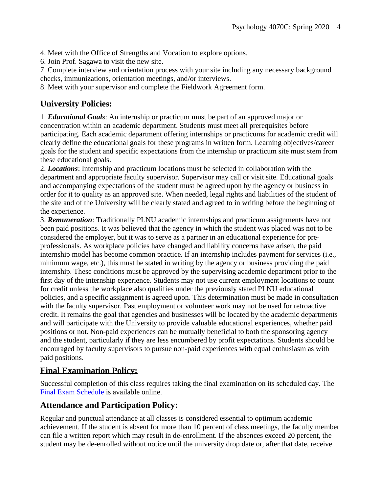4. Meet with the Office of Strengths and Vocation to explore options.

6. Join Prof. Sagawa to visit the new site.

7. Complete interview and orientation process with your site including any necessary background checks, immunizations, orientation meetings, and/or interviews.

8. Meet with your supervisor and complete the Fieldwork Agreement form.

#### **University Policies:**

1. *Educational Goals*: An internship or practicum must be part of an approved major or concentration within an academic department. Students must meet all prerequisites before participating. Each academic department offering internships or practicums for academic credit will clearly define the educational goals for these programs in written form. Learning objectives/career goals for the student and specific expectations from the internship or practicum site must stem from these educational goals.

2. *Locations*: Internship and practicum locations must be selected in collaboration with the department and appropriate faculty supervisor. Supervisor may call or visit site. Educational goals and accompanying expectations of the student must be agreed upon by the agency or business in order for it to quality as an approved site. When needed, legal rights and liabilities of the student of the site and of the University will be clearly stated and agreed to in writing before the beginning of the experience.

3. *Remuneration*: Traditionally PLNU academic internships and practicum assignments have not been paid positions. It was believed that the agency in which the student was placed was not to be considered the employer, but it was to serve as a partner in an educational experience for preprofessionals. As workplace policies have changed and liability concerns have arisen, the paid internship model has become common practice. If an internship includes payment for services (i.e., minimum wage, etc.), this must be stated in writing by the agency or business providing the paid internship. These conditions must be approved by the supervising academic department prior to the first day of the internship experience. Students may not use current employment locations to count for credit unless the workplace also qualifies under the previously stated PLNU educational policies, and a specific assignment is agreed upon. This determination must be made in consultation with the faculty supervisor. Past employment or volunteer work may not be used for retroactive credit. It remains the goal that agencies and businesses will be located by the academic departments and will participate with the University to provide valuable educational experiences, whether paid positions or not. Non-paid experiences can be mutually beneficial to both the sponsoring agency and the student, particularly if they are less encumbered by profit expectations. Students should be encouraged by faculty supervisors to pursue non-paid experiences with equal enthusiasm as with paid positions.

#### **Final Examination Policy:**

Successful completion of this class requires taking the final examination on its scheduled day. The [Final Exam Schedule](http://www.pointloma.edu/experience/academics/class-schedules) is available online.

#### **Attendance and Participation Policy:**

Regular and punctual attendance at all classes is considered essential to optimum academic achievement. If the student is absent for more than 10 percent of class meetings, the faculty member can file a written report which may result in de-enrollment. If the absences exceed 20 percent, the student may be de-enrolled without notice until the university drop date or, after that date, receive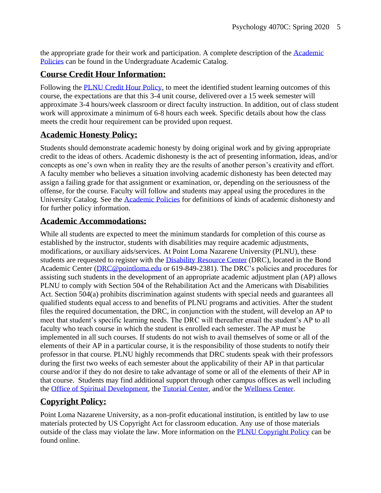the appropriate grade for their work and participation. A complete description of the [Academic](https://catalog.pointloma.edu/content.php?catoid=18&navoid=1278#Class_Attendance)  [Policies](https://catalog.pointloma.edu/content.php?catoid=18&navoid=1278#Class_Attendance) can be found in the Undergraduate Academic Catalog.

#### **Course Credit Hour Information:**

Following the [PLNU Credit Hour Policy,](http://catalog.pointloma.edu/content.php?catoid=18&navoid=1278#Credit_Hour_Definition) to meet the identified student learning outcomes of this course, the expectations are that this 3-4 unit course, delivered over a 15 week semester will approximate 3-4 hours/week classroom or direct faculty instruction. In addition, out of class student work will approximate a minimum of 6-8 hours each week. Specific details about how the class meets the credit hour requirement can be provided upon request.

#### **Academic Honesty Policy:**

Students should demonstrate academic honesty by doing original work and by giving appropriate credit to the ideas of others. Academic dishonesty is the act of presenting information, ideas, and/or concepts as one's own when in reality they are the results of another person's creativity and effort. A faculty member who believes a situation involving academic dishonesty has been detected may assign a failing grade for that assignment or examination, or, depending on the seriousness of the offense, for the course. Faculty will follow and students may appeal using the procedures in the University Catalog. See the [Academic Policies](https://catalog.pointloma.edu/content.php?catoid=18&navoid=1278#Academic_Honesty) for definitions of kinds of academic dishonesty and for further policy information.

#### **Academic Accommodations:**

While all students are expected to meet the minimum standards for completion of this course as established by the instructor, students with disabilities may require academic adjustments, modifications, or auxiliary aids/services. At Point Loma Nazarene University (PLNU), these students are requested to register with the [Disability Resource Center](http://www.pointloma.edu/experience/offices/administrative-offices/academic-advising-office/disability-resource-center) (DRC), located in the Bond Academic Center [\(DRC@pointloma.edu](mailto:DRC@pointloma.edu) or 619-849-2381). The DRC's policies and procedures for assisting such students in the development of an appropriate academic adjustment plan (AP) allows PLNU to comply with Section 504 of the Rehabilitation Act and the Americans with Disabilities Act. Section 504(a) prohibits discrimination against students with special needs and guarantees all qualified students equal access to and benefits of PLNU programs and activities. After the student files the required documentation, the DRC, in conjunction with the student, will develop an AP to meet that student's specific learning needs. The DRC will thereafter email the student's AP to all faculty who teach course in which the student is enrolled each semester. The AP must be implemented in all such courses. If students do not wish to avail themselves of some or all of the elements of their AP in a particular course, it is the responsibility of those students to notify their professor in that course. PLNU highly recommends that DRC students speak with their professors during the first two weeks of each semester about the applicability of their AP in that particular course and/or if they do not desire to take advantage of some or all of the elements of their AP in that course. Students may find additional support through other campus offices as well including the [Office of Spiritual Development,](https://www.pointloma.edu/offices/spiritual-development) the [Tutorial Center,](https://www.pointloma.edu/offices/tutorial-services) and/or the [Wellness Center.](https://www.pointloma.edu/offices/wellness-center)

### **Copyright Policy:**

Point Loma Nazarene University, as a non-profit educational institution, is entitled by law to use materials protected by US Copyright Act for classroom education. Any use of those materials outside of the class may violate the law. More information on the [PLNU Copyright Policy](http://libguides.pointloma.edu/content.php?pid=203591&sid=1700398) can be found online.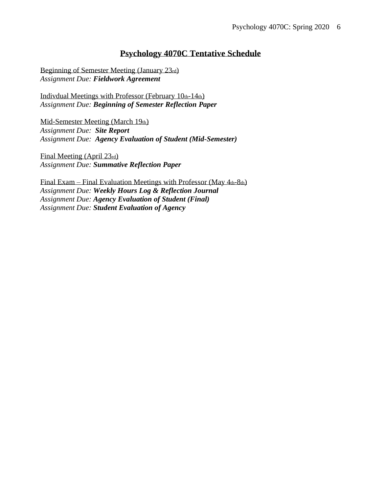#### **Psychology 4070C Tentative Schedule**

Beginning of Semester Meeting (January 23rd) *Assignment Due: Fieldwork Agreement*

Indivdual Meetings with Professor (February 10th-14th) *Assignment Due: Beginning of Semester Reflection Paper*

Mid-Semester Meeting (March 19th) *Assignment Due: Site Report Assignment Due: Agency Evaluation of Student (Mid-Semester)*

Final Meeting (April 23rd) *Assignment Due: Summative Reflection Paper*

Final Exam – Final Evaluation Meetings with Professor (May 4th-8th) *Assignment Due: Weekly Hours Log & Reflection Journal Assignment Due: Agency Evaluation of Student (Final) Assignment Due: Student Evaluation of Agency*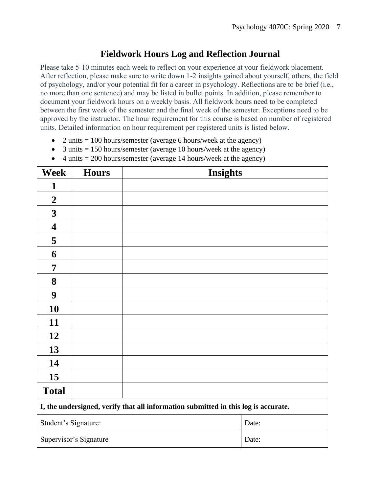## **Fieldwork Hours Log and Reflection Journal**

Please take 5-10 minutes each week to reflect on your experience at your fieldwork placement. After reflection, please make sure to write down 1-2 insights gained about yourself, others, the field of psychology, and/or your potential fit for a career in psychology. Reflections are to be brief (i.e., no more than one sentence) and may be listed in bullet points. In addition, please remember to document your fieldwork hours on a weekly basis. All fieldwork hours need to be completed between the first week of the semester and the final week of the semester. Exceptions need to be approved by the instructor. The hour requirement for this course is based on number of registered units. Detailed information on hour requirement per registered units is listed below.

- 2 units  $= 100$  hours/semester (average 6 hours/week at the agency)
- 3 units  $= 150$  hours/semester (average 10 hours/week at the agency)
- 4 units  $= 200$  hours/semester (average 14 hours/week at the agency)

| <b>Week</b>                                                                        | <b>Hours</b>           | <b>Insights</b> |       |  |
|------------------------------------------------------------------------------------|------------------------|-----------------|-------|--|
| 1                                                                                  |                        |                 |       |  |
| $\boldsymbol{2}$                                                                   |                        |                 |       |  |
| $\mathbf{3}$                                                                       |                        |                 |       |  |
| $\overline{\mathbf{4}}$                                                            |                        |                 |       |  |
| 5                                                                                  |                        |                 |       |  |
| 6                                                                                  |                        |                 |       |  |
| 7                                                                                  |                        |                 |       |  |
| 8                                                                                  |                        |                 |       |  |
| $\boldsymbol{9}$                                                                   |                        |                 |       |  |
| 10                                                                                 |                        |                 |       |  |
| 11                                                                                 |                        |                 |       |  |
| 12                                                                                 |                        |                 |       |  |
| 13                                                                                 |                        |                 |       |  |
| 14                                                                                 |                        |                 |       |  |
| 15                                                                                 |                        |                 |       |  |
| <b>Total</b>                                                                       |                        |                 |       |  |
| I, the undersigned, verify that all information submitted in this log is accurate. |                        |                 |       |  |
| Student's Signature:                                                               |                        |                 | Date: |  |
|                                                                                    | Supervisor's Signature |                 | Date: |  |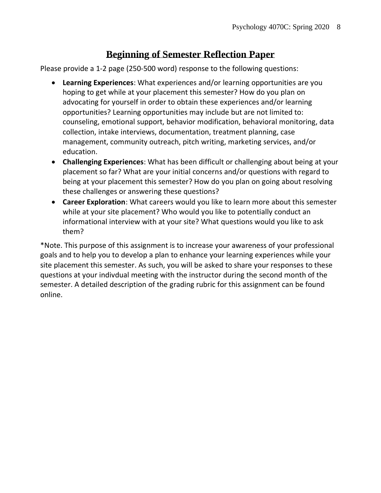# **Beginning of Semester Reflection Paper**

Please provide a 1-2 page (250-500 word) response to the following questions:

- **Learning Experiences**: What experiences and/or learning opportunities are you hoping to get while at your placement this semester? How do you plan on advocating for yourself in order to obtain these experiences and/or learning opportunities? Learning opportunities may include but are not limited to: counseling, emotional support, behavior modification, behavioral monitoring, data collection, intake interviews, documentation, treatment planning, case management, community outreach, pitch writing, marketing services, and/or education.
- **Challenging Experiences**: What has been difficult or challenging about being at your placement so far? What are your initial concerns and/or questions with regard to being at your placement this semester? How do you plan on going about resolving these challenges or answering these questions?
- **Career Exploration**: What careers would you like to learn more about this semester while at your site placement? Who would you like to potentially conduct an informational interview with at your site? What questions would you like to ask them?

\*Note. This purpose of this assignment is to increase your awareness of your professional goals and to help you to develop a plan to enhance your learning experiences while your site placement this semester. As such, you will be asked to share your responses to these questions at your indivdual meeting with the instructor during the second month of the semester. A detailed description of the grading rubric for this assignment can be found online.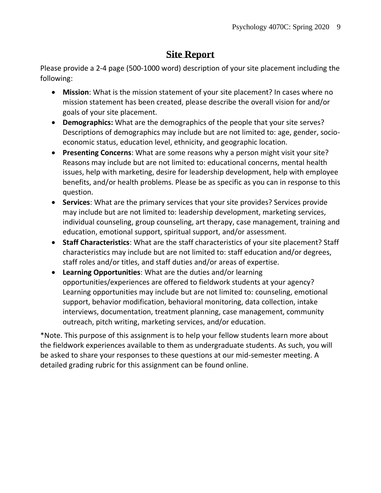# **Site Report**

Please provide a 2-4 page (500-1000 word) description of your site placement including the following:

- **Mission**: What is the mission statement of your site placement? In cases where no mission statement has been created, please describe the overall vision for and/or goals of your site placement.
- **Demographics:** What are the demographics of the people that your site serves? Descriptions of demographics may include but are not limited to: age, gender, socioeconomic status, education level, ethnicity, and geographic location.
- **Presenting Concerns**: What are some reasons why a person might visit your site? Reasons may include but are not limited to: educational concerns, mental health issues, help with marketing, desire for leadership development, help with employee benefits, and/or health problems. Please be as specific as you can in response to this question.
- **Services**: What are the primary services that your site provides? Services provide may include but are not limited to: leadership development, marketing services, individual counseling, group counseling, art therapy, case management, training and education, emotional support, spiritual support, and/or assessment.
- **Staff Characteristics**: What are the staff characteristics of your site placement? Staff characteristics may include but are not limited to: staff education and/or degrees, staff roles and/or titles, and staff duties and/or areas of expertise.
- **Learning Opportunities**: What are the duties and/or learning opportunities/experiences are offered to fieldwork students at your agency? Learning opportunities may include but are not limited to: counseling, emotional support, behavior modification, behavioral monitoring, data collection, intake interviews, documentation, treatment planning, case management, community outreach, pitch writing, marketing services, and/or education.

\*Note. This purpose of this assignment is to help your fellow students learn more about the fieldwork experiences available to them as undergraduate students. As such, you will be asked to share your responses to these questions at our mid-semester meeting. A detailed grading rubric for this assignment can be found online.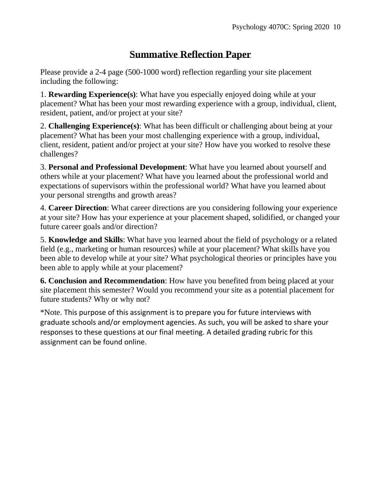# **Summative Reflection Paper**

Please provide a 2-4 page (500-1000 word) reflection regarding your site placement including the following:

1. **Rewarding Experience(s)**: What have you especially enjoyed doing while at your placement? What has been your most rewarding experience with a group, individual, client, resident, patient, and/or project at your site?

2. **Challenging Experience(s)**: What has been difficult or challenging about being at your placement? What has been your most challenging experience with a group, individual, client, resident, patient and/or project at your site? How have you worked to resolve these challenges?

3. **Personal and Professional Development**: What have you learned about yourself and others while at your placement? What have you learned about the professional world and expectations of supervisors within the professional world? What have you learned about your personal strengths and growth areas?

4. **Career Direction**: What career directions are you considering following your experience at your site? How has your experience at your placement shaped, solidified, or changed your future career goals and/or direction?

5. **Knowledge and Skills**: What have you learned about the field of psychology or a related field (e.g., marketing or human resources) while at your placement? What skills have you been able to develop while at your site? What psychological theories or principles have you been able to apply while at your placement?

**6. Conclusion and Recommendation**: How have you benefited from being placed at your site placement this semester? Would you recommend your site as a potential placement for future students? Why or why not?

\*Note. This purpose of this assignment is to prepare you for future interviews with graduate schools and/or employment agencies. As such, you will be asked to share your responses to these questions at our final meeting. A detailed grading rubric for this assignment can be found online.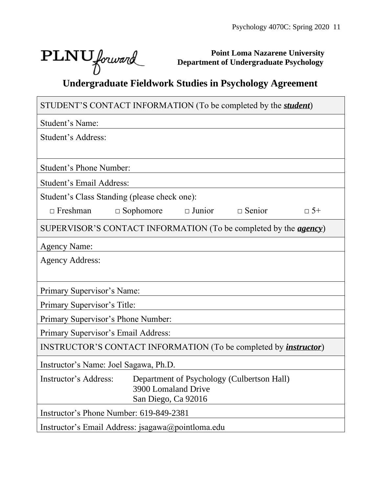┑

Г

**Point Loma Nazarene University Department of Undergraduate Psychology**

# **PLNU** *Jorward Department of Undergraduate Psychology*<br>Undergraduate Fieldwork Studies in Psychology Agreement

| STUDENT'S CONTACT INFORMATION (To be completed by the <i>student</i> )          |
|---------------------------------------------------------------------------------|
| Student's Name:                                                                 |
| Student's Address:                                                              |
|                                                                                 |
| <b>Student's Phone Number:</b>                                                  |
| Student's Email Address:                                                        |
| Student's Class Standing (please check one):                                    |
| $\Box$ Sophomore<br>$\Box$ Junior $\Box$ Senior<br>$\Box$ Freshman<br>$\Box$ 5+ |
| SUPERVISOR'S CONTACT INFORMATION (To be completed by the <i>agency</i> )        |
| <b>Agency Name:</b>                                                             |
| <b>Agency Address:</b>                                                          |
|                                                                                 |
| Primary Supervisor's Name:                                                      |
| Primary Supervisor's Title:                                                     |
| Primary Supervisor's Phone Number:                                              |
| Primary Supervisor's Email Address:                                             |
| INSTRUCTOR'S CONTACT INFORMATION (To be completed by <i>instructor</i> )        |
| Instructor's Name: Joel Sagawa, Ph.D.                                           |
| Instructor's Address: Department of Psychology (Culbertson Hall)                |
| 3900 Lomaland Drive<br>San Diego, Ca 92016                                      |
| Instructor's Phone Number: 619-849-2381                                         |
| Instructor's Email Address: jsagawa@pointloma.edu                               |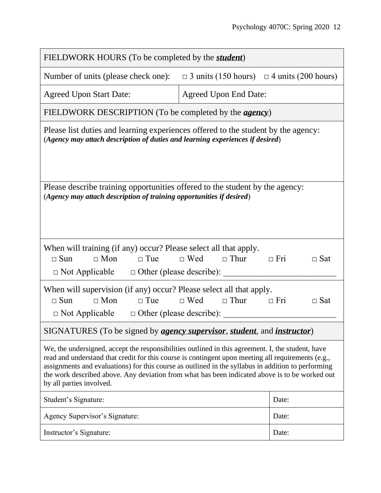| FIELDWORK HOURS (To be completed by the <i>student</i> )                                                                                                                                                                                                                                                                                                                                                                                    |                                                       |                          |  |  |
|---------------------------------------------------------------------------------------------------------------------------------------------------------------------------------------------------------------------------------------------------------------------------------------------------------------------------------------------------------------------------------------------------------------------------------------------|-------------------------------------------------------|--------------------------|--|--|
| Number of units (please check one):                                                                                                                                                                                                                                                                                                                                                                                                         | $\Box$ 3 units (150 hours) $\Box$ 4 units (200 hours) |                          |  |  |
| <b>Agreed Upon Start Date:</b>                                                                                                                                                                                                                                                                                                                                                                                                              | <b>Agreed Upon End Date:</b>                          |                          |  |  |
| FIELDWORK DESCRIPTION (To be completed by the <i>agency</i> )                                                                                                                                                                                                                                                                                                                                                                               |                                                       |                          |  |  |
| Please list duties and learning experiences offered to the student by the agency:<br>(Agency may attach description of duties and learning experiences if desired)                                                                                                                                                                                                                                                                          |                                                       |                          |  |  |
| Please describe training opportunities offered to the student by the agency:<br>(Agency may attach description of training opportunities if desired)                                                                                                                                                                                                                                                                                        |                                                       |                          |  |  |
| When will training (if any) occur? Please select all that apply.<br>$\Box$ Sun<br>$\Box$ Mon<br>$\Box$ Tue<br>$\Box$ Not Applicable $\Box$ Other (please describe):                                                                                                                                                                                                                                                                         | $\Box$ Wed $\Box$ Thur<br>$\Box$ Fri                  | $\Box$ Sat               |  |  |
| When will supervision (if any) occur? Please select all that apply.<br>$\Box$ Mon<br>$\Box$ Tue<br>$\Box$ Sun<br>$\Box$ Not Applicable $\Box$ Other (please describe):                                                                                                                                                                                                                                                                      | $\Box$ Wed $\Box$ Thur                                | $\Box$ Fri<br>$\Box$ Sat |  |  |
| SIGNATURES (To be signed by <i>agency supervisor</i> , <i>student</i> , and <i>instructor</i> )                                                                                                                                                                                                                                                                                                                                             |                                                       |                          |  |  |
| We, the undersigned, accept the responsibilities outlined in this agreement. I, the student, have<br>read and understand that credit for this course is contingent upon meeting all requirements (e.g.,<br>assignments and evaluations) for this course as outlined in the syllabus in addition to performing<br>the work described above. Any deviation from what has been indicated above is to be worked out<br>by all parties involved. |                                                       |                          |  |  |
| Student's Signature:                                                                                                                                                                                                                                                                                                                                                                                                                        |                                                       | Date:                    |  |  |
| Agency Supervisor's Signature:                                                                                                                                                                                                                                                                                                                                                                                                              |                                                       | Date:                    |  |  |
| Instructor's Signature:                                                                                                                                                                                                                                                                                                                                                                                                                     |                                                       | Date:                    |  |  |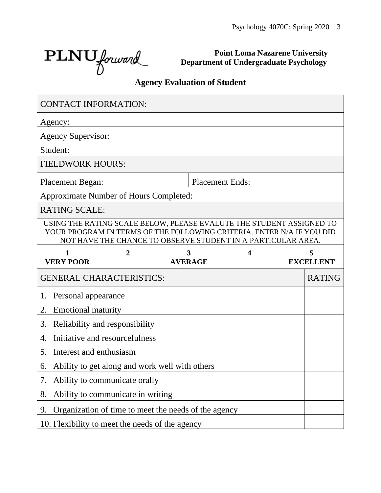٦

PLNU forward

**Point Loma Nazarene University Department of Undergraduate Psychology**

# **Agency Evaluation of Student**

| <b>CONTACT INFORMATION:</b>            |                                   |                                                                                                                                                                                                               |   |                  |
|----------------------------------------|-----------------------------------|---------------------------------------------------------------------------------------------------------------------------------------------------------------------------------------------------------------|---|------------------|
| Agency:                                |                                   |                                                                                                                                                                                                               |   |                  |
| <b>Agency Supervisor:</b>              |                                   |                                                                                                                                                                                                               |   |                  |
| Student:                               |                                   |                                                                                                                                                                                                               |   |                  |
| <b>FIELDWORK HOURS:</b>                |                                   |                                                                                                                                                                                                               |   |                  |
| <b>Placement Began:</b>                |                                   | <b>Placement Ends:</b>                                                                                                                                                                                        |   |                  |
| Approximate Number of Hours Completed: |                                   |                                                                                                                                                                                                               |   |                  |
| <b>RATING SCALE:</b>                   |                                   |                                                                                                                                                                                                               |   |                  |
|                                        |                                   | USING THE RATING SCALE BELOW, PLEASE EVALUTE THE STUDENT ASSIGNED TO<br>YOUR PROGRAM IN TERMS OF THE FOLLOWING CRITERIA. ENTER N/A IF YOU DID<br>NOT HAVE THE CHANCE TO OBSERVE STUDENT IN A PARTICULAR AREA. |   |                  |
| 1                                      | 2                                 | 3                                                                                                                                                                                                             | 4 | 5                |
| <b>VERY POOR</b>                       |                                   | <b>AVERAGE</b>                                                                                                                                                                                                |   | <b>EXCELLENT</b> |
| <b>GENERAL CHARACTERISTICS:</b>        |                                   |                                                                                                                                                                                                               |   | <b>RATING</b>    |
| Personal appearance<br>1.              |                                   |                                                                                                                                                                                                               |   |                  |
| 2.<br><b>Emotional maturity</b>        |                                   |                                                                                                                                                                                                               |   |                  |
| 3.                                     | Reliability and responsibility    |                                                                                                                                                                                                               |   |                  |
| 4.                                     | Initiative and resourcefulness    |                                                                                                                                                                                                               |   |                  |
| 5.<br>Interest and enthusiasm          |                                   |                                                                                                                                                                                                               |   |                  |
| 6.                                     |                                   | Ability to get along and work well with others                                                                                                                                                                |   |                  |
|                                        | Ability to communicate orally     |                                                                                                                                                                                                               |   |                  |
| 8.                                     | Ability to communicate in writing |                                                                                                                                                                                                               |   |                  |
| 9.                                     |                                   | Organization of time to meet the needs of the agency                                                                                                                                                          |   |                  |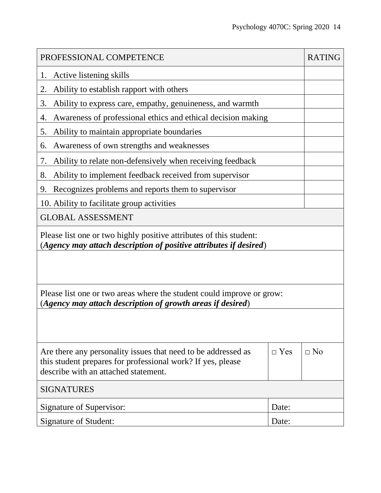| PROFESSIONAL COMPETENCE                                                                                                                                              |            | <b>RATING</b> |  |  |
|----------------------------------------------------------------------------------------------------------------------------------------------------------------------|------------|---------------|--|--|
| Active listening skills<br>1.                                                                                                                                        |            |               |  |  |
| 2.<br>Ability to establish rapport with others                                                                                                                       |            |               |  |  |
| Ability to express care, empathy, genuineness, and warmth<br>3.                                                                                                      |            |               |  |  |
| Awareness of professional ethics and ethical decision making<br>4.                                                                                                   |            |               |  |  |
| Ability to maintain appropriate boundaries<br>5.                                                                                                                     |            |               |  |  |
| Awareness of own strengths and weaknesses<br>6.                                                                                                                      |            |               |  |  |
| Ability to relate non-defensively when receiving feedback<br>7.                                                                                                      |            |               |  |  |
| Ability to implement feedback received from supervisor<br>8.                                                                                                         |            |               |  |  |
| Recognizes problems and reports them to supervisor<br>9.                                                                                                             |            |               |  |  |
| 10. Ability to facilitate group activities                                                                                                                           |            |               |  |  |
| <b>GLOBAL ASSESSMENT</b>                                                                                                                                             |            |               |  |  |
| Please list one or two highly positive attributes of this student:<br>(Agency may attach description of positive attributes if desired)                              |            |               |  |  |
|                                                                                                                                                                      |            |               |  |  |
| Please list one or two areas where the student could improve or grow:<br>(Agency may attach description of growth areas if desired)                                  |            |               |  |  |
|                                                                                                                                                                      |            |               |  |  |
| Are there any personality issues that need to be addressed as<br>this student prepares for professional work? If yes, please<br>describe with an attached statement. | $\Box$ Yes | $\Box$ No     |  |  |
| <b>SIGNATURES</b>                                                                                                                                                    |            |               |  |  |
| Signature of Supervisor:                                                                                                                                             | Date:      |               |  |  |
| <b>Signature of Student:</b>                                                                                                                                         | Date:      |               |  |  |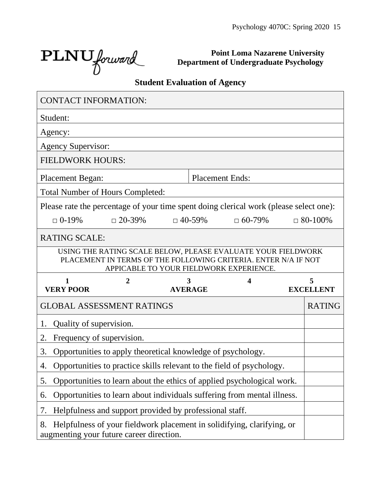$\text{PLNU}$  forward

**Point Loma Nazarene University Department of Undergraduate Psychology**

# **Student Evaluation of Agency**

| <b>CONTACT INFORMATION:</b>                                                            |                                                                                                                                |                     |               |                                         |                       |
|----------------------------------------------------------------------------------------|--------------------------------------------------------------------------------------------------------------------------------|---------------------|---------------|-----------------------------------------|-----------------------|
| Student:                                                                               |                                                                                                                                |                     |               |                                         |                       |
| Agency:                                                                                |                                                                                                                                |                     |               |                                         |                       |
| <b>Agency Supervisor:</b>                                                              |                                                                                                                                |                     |               |                                         |                       |
| <b>FIELDWORK HOURS:</b>                                                                |                                                                                                                                |                     |               |                                         |                       |
| <b>Placement Began:</b>                                                                |                                                                                                                                |                     |               | <b>Placement Ends:</b>                  |                       |
| <b>Total Number of Hours Completed:</b>                                                |                                                                                                                                |                     |               |                                         |                       |
| Please rate the percentage of your time spent doing clerical work (please select one): |                                                                                                                                |                     |               |                                         |                       |
| $\Box$ 0-19%                                                                           | $\Box$ 20-39%                                                                                                                  |                     | $\Box$ 40-59% | $\Box 60 - 79\%$                        | $\Box$ 80-100%        |
| <b>RATING SCALE:</b>                                                                   |                                                                                                                                |                     |               |                                         |                       |
|                                                                                        | USING THE RATING SCALE BELOW, PLEASE EVALUATE YOUR FIELDWORK<br>PLACEMENT IN TERMS OF THE FOLLOWING CRITERIA. ENTER N/A IF NOT |                     |               | APPICABLE TO YOUR FIELDWORK EXPERIENCE. |                       |
| 1<br><b>VERY POOR</b>                                                                  | $\overline{2}$                                                                                                                 | 3<br><b>AVERAGE</b> |               | 4                                       | 5<br><b>EXCELLENT</b> |
| <b>GLOBAL ASSESSMENT RATINGS</b>                                                       |                                                                                                                                |                     |               |                                         |                       |
|                                                                                        |                                                                                                                                |                     |               |                                         | <b>RATING</b>         |
| Quality of supervision.<br>1.                                                          |                                                                                                                                |                     |               |                                         |                       |
| Frequency of supervision.<br>2.                                                        |                                                                                                                                |                     |               |                                         |                       |
| 3.                                                                                     | Opportunities to apply theoretical knowledge of psychology.                                                                    |                     |               |                                         |                       |
| 4.                                                                                     | Opportunities to practice skills relevant to the field of psychology.                                                          |                     |               |                                         |                       |
| 5.                                                                                     | Opportunities to learn about the ethics of applied psychological work.                                                         |                     |               |                                         |                       |
| 6.                                                                                     | Opportunities to learn about individuals suffering from mental illness.                                                        |                     |               |                                         |                       |
| 7.                                                                                     | Helpfulness and support provided by professional staff.                                                                        |                     |               |                                         |                       |